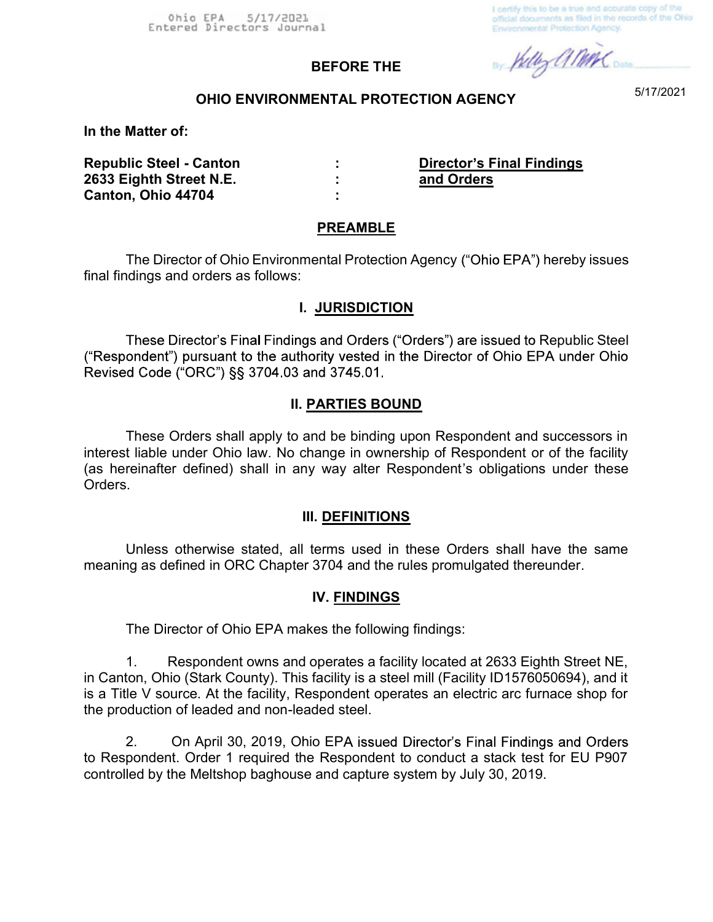I certify this to be a true and accurate copy of the official documents as filed in the records of the Ohio **Environmental Protection Agency.** 

By Kelly al MAC Dates

## OHIO ENVIRONMENTAL PROTECTION AGENCY

BEFORE THE

5/17/2021

In the Matter of:

Republic Steel - Canton : Director's Final Findings 2633 Eighth Street N.E. : and Orders Canton, Ohio 44704 :

#### PREAMBLE

The Director of Ohio Environmental Protection Agency ("Ohio EPA") hereby issues final findings and orders as follows:

#### I. JURISDICTION

These Director's Final Findings and Orders ("Orders") are issued to Republic Steel<br>("Respondent") pursuant to the authority vested in the Director of Ohio EPA under Ohio Revised Code ("ORC") §§ 3704.03 and 3745.01.

#### II. PARTIES BOUND

These Orders shall apply to and be binding upon Respondent and successors in interest liable under Ohio law. No change in ownership of Respondent or of the facility (as hereinafter defined) shall in any way alter Respondent's obligations under these Orders.

#### III. DEFINITIONS

Unless otherwise stated, all terms used in these Orders shall have the same meaning as defined in ORC Chapter 3704 and the rules promulgated thereunder.

#### IV. FINDINGS

The Director of Ohio EPA makes the following findings:

1. Respondent owns and operates a facility located at 2633 Eighth Street NE, in Canton, Ohio (Stark County). This facility is a steel mill (Facility ID1576050694), and it is a Title V source. At the facility, Respondent operates an electric arc furnace shop for the production of leaded and non-leaded steel.

2. On April 30, 2019, Ohio EPA issued Director's Final Findings and Orders to Respondent. Order 1 required the Respondent to conduct a stack test for EU P907 controlled by the Meltshop baghouse and capture system by July 30, 2019.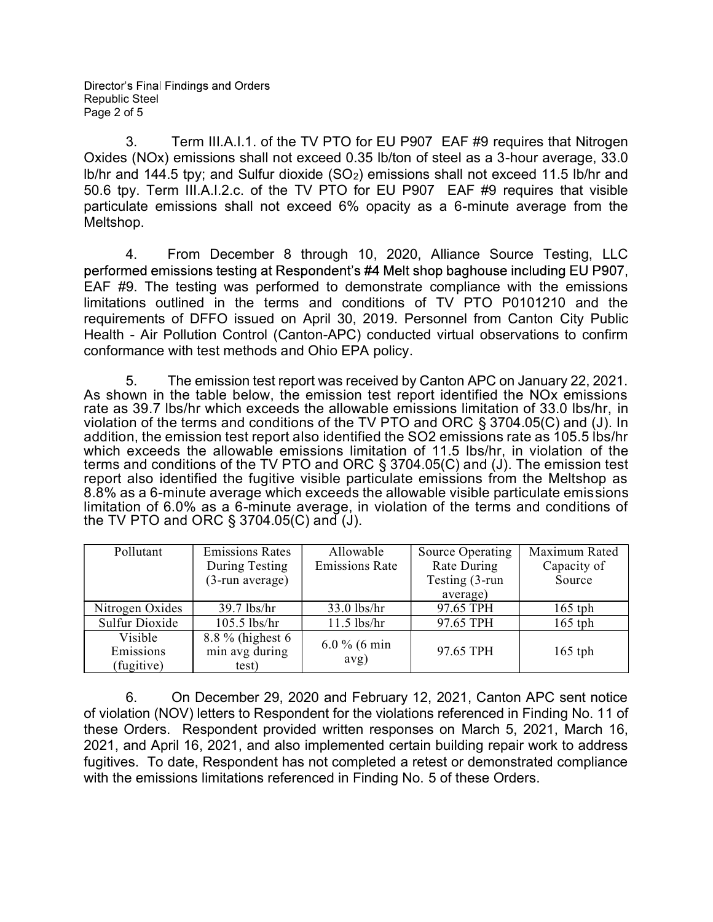3. Term III.A.I.1. of the TV PTO for EU P907 EAF #9 requires that Nitrogen Oxides (NOx) emissions shall not exceed 0.35 lb/ton of steel as a 3-hour average, 33.0 lb/hr and 144.5 tpy; and Sulfur dioxide (SO2) emissions shall not exceed 11.5 lb/hr and 50.6 tpy. Term III.A.I.2.c. of the TV PTO for EU P907 EAF #9 requires that visible particulate emissions shall not exceed 6% opacity as a 6-minute average from the Meltshop.

4. From December 8 through 10, 2020, Alliance Source Testing, LLC performed emissions testing at Respondent's #4 Melt shop baghouse including EU P907. EAF #9. The testing was performed to demonstrate compliance with the emissions limitations outlined in the terms and conditions of TV PTO P0101210 and the requirements of DFFO issued on April 30, 2019. Personnel from Canton City Public Health - Air Pollution Control (Canton-APC) conducted virtual observations to confirm conformance with test methods and Ohio EPA policy.

5. The emission test report was received by Canton APC on January 22, 2021. As shown in the table below, the emission test report identified the NOx emissions rate as 39.7 lbs/hr which exceeds the allowable emissions limitation of 33.0 lbs/hr, in violation of the terms and conditions of the TV PTO and ORC § 3704.05(C) and (J). In addition, the emission test report also identified the SO2 emissions rate as 105.5 lbs/hr which exceeds the allowable emissions limitation of 11.5 lbs/hr, in violation of the terms and conditions of the TV PTO and ORC § 3704.05(C) and (J). The emission test report also identified the fugitive visible particulate emissions from the Meltshop as 8.8% as a 6-minute average which exceeds the allowable visible particulate emissions limitation of 6.0% as a 6-minute average, in violation of the terms and conditions of the TV PTO and ORC § 3704.05(C) and (J).

| Pollutant       | <b>Emissions Rates</b> | Allowable             | Source Operating | Maximum Rated |
|-----------------|------------------------|-----------------------|------------------|---------------|
|                 | During Testing         | <b>Emissions Rate</b> | Rate During      | Capacity of   |
|                 | (3-run average)        |                       | Testing (3-run   | Source        |
|                 |                        |                       | average)         |               |
| Nitrogen Oxides | $39.7$ lbs/hr          | $33.0$ lbs/hr         | 97.65 TPH        | $165$ tph     |
| Sulfur Dioxide  | 105.5 lbs/hr           | $11.5$ lbs/hr         | 97.65 TPH        | $165$ tph     |
| Visible         | $8.8\%$ (highest 6)    | $6.0\%$ (6 min        |                  |               |
| Emissions       | min avg during         | avg)                  | 97.65 TPH        | $165$ tph     |
| (fugitive)      | test)                  |                       |                  |               |

6. On December 29, 2020 and February 12, 2021, Canton APC sent notice of violation (NOV) letters to Respondent for the violations referenced in Finding No. 11 of these Orders. Respondent provided written responses on March 5, 2021, March 16, 2021, and April 16, 2021, and also implemented certain building repair work to address fugitives. To date, Respondent has not completed a retest or demonstrated compliance with the emissions limitations referenced in Finding No. 5 of these Orders.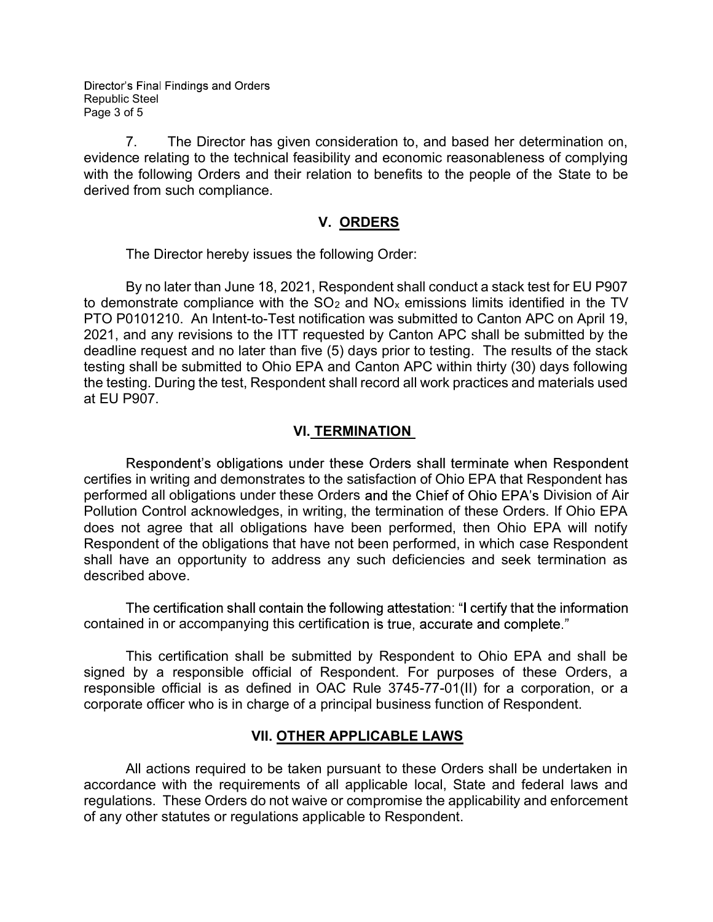Director's Final Findings and Orders Republic Steel Page 3 of 5

7. The Director has given consideration to, and based her determination on, evidence relating to the technical feasibility and economic reasonableness of complying with the following Orders and their relation to benefits to the people of the State to be derived from such compliance.

### V. ORDERS

The Director hereby issues the following Order:

By no later than June 18, 2021, Respondent shall conduct a stack test for EU P907 to demonstrate compliance with the  $SO<sub>2</sub>$  and  $NO<sub>x</sub>$  emissions limits identified in the TV PTO P0101210. An Intent-to-Test notification was submitted to Canton APC on April 19, 2021, and any revisions to the ITT requested by Canton APC shall be submitted by the deadline request and no later than five (5) days prior to testing. The results of the stack testing shall be submitted to Ohio EPA and Canton APC within thirty (30) days following the testing. During the test, Respondent shall record all work practices and materials used at EU P907.

## VI. TERMINATION

Respondent's obligations under these Orders shall terminate when Respondent certifies in writing and demonstrates to the satisfaction of Ohio EPA that Respondent has performed all obligations under these Orders and the Chief of Ohio EPA's Division of Air Pollution Control acknowledges, in writing, the termination of these Orders. If Ohio EPA does not agree that all obligations have been performed, then Ohio EPA will notify Respondent of the obligations that have not been performed, in which case Respondent shall have an opportunity to address any such deficiencies and seek termination as described above.

The certification shall contain the following attestation: "I certify that the information contained in or accompanying this certification is true, accurate and complete."

 This certification shall be submitted by Respondent to Ohio EPA and shall be signed by a responsible official of Respondent. For purposes of these Orders, a responsible official is as defined in OAC Rule 3745-77-01(II) for a corporation, or a corporate officer who is in charge of a principal business function of Respondent.

## VII. OTHER APPLICABLE LAWS

All actions required to be taken pursuant to these Orders shall be undertaken in accordance with the requirements of all applicable local, State and federal laws and regulations. These Orders do not waive or compromise the applicability and enforcement of any other statutes or regulations applicable to Respondent.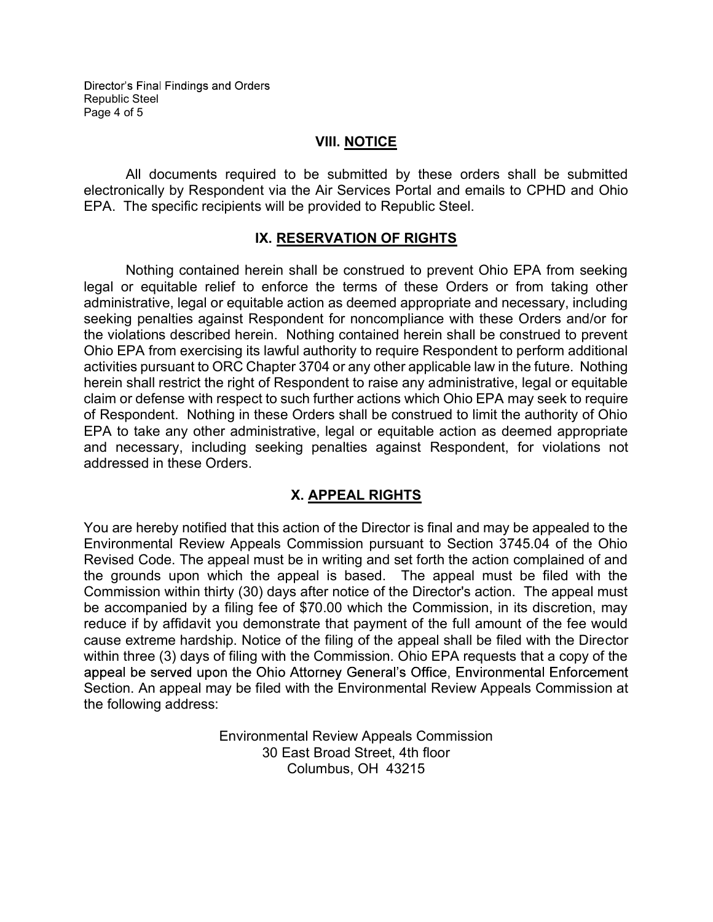### VIII. NOTICE

All documents required to be submitted by these orders shall be submitted electronically by Respondent via the Air Services Portal and emails to CPHD and Ohio EPA. The specific recipients will be provided to Republic Steel.

## IX. RESERVATION OF RIGHTS

Nothing contained herein shall be construed to prevent Ohio EPA from seeking legal or equitable relief to enforce the terms of these Orders or from taking other administrative, legal or equitable action as deemed appropriate and necessary, including seeking penalties against Respondent for noncompliance with these Orders and/or for the violations described herein. Nothing contained herein shall be construed to prevent Ohio EPA from exercising its lawful authority to require Respondent to perform additional activities pursuant to ORC Chapter 3704 or any other applicable law in the future. Nothing herein shall restrict the right of Respondent to raise any administrative, legal or equitable claim or defense with respect to such further actions which Ohio EPA may seek to require of Respondent. Nothing in these Orders shall be construed to limit the authority of Ohio EPA to take any other administrative, legal or equitable action as deemed appropriate and necessary, including seeking penalties against Respondent, for violations not addressed in these Orders.

# X. APPEAL RIGHTS

You are hereby notified that this action of the Director is final and may be appealed to the Environmental Review Appeals Commission pursuant to Section 3745.04 of the Ohio Revised Code. The appeal must be in writing and set forth the action complained of and the grounds upon which the appeal is based. The appeal must be filed with the Commission within thirty (30) days after notice of the Director's action. The appeal must be accompanied by a filing fee of \$70.00 which the Commission, in its discretion, may reduce if by affidavit you demonstrate that payment of the full amount of the fee would cause extreme hardship. Notice of the filing of the appeal shall be filed with the Director within three (3) days of filing with the Commission. Ohio EPA requests that a copy of the appeal be served upon the Ohio Attorney General's Office, Environmental Enforcement Section. An appeal may be filed with the Environmental Review Appeals Commission at the following address:

> Environmental Review Appeals Commission 30 East Broad Street, 4th floor Columbus, OH 43215